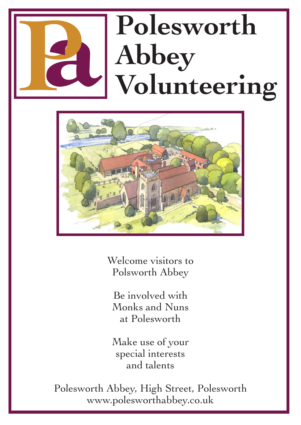



Welcome visitors to Polsworth Abbey

Be involved with Monks and Nuns at Polesworth

Make use of your special interests and talents

Polesworth Abbey, High Street, Polesworth www.polesworthabbey.co.uk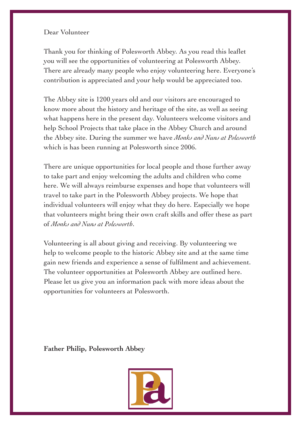#### Dear Volunteer

Thank you for thinking of Polesworth Abbey. As you read this leaflet you will see the opportunities of volunteering at Polesworth Abbey. There are already many people who enjoy volunteering here. Everyone's contribution is appreciated and your help would be appreciated too.

The Abbey site is 1200 years old and our visitors are encouraged to know more about the history and heritage of the site, as well as seeing what happens here in the present day. Volunteers welcome visitors and help School Projects that take place in the Abbey Church and around the Abbey site. During the summer we have *Monks and Nuns at Polesworth* which is has been running at Polesworth since 2006.

There are unique opportunities for local people and those further away to take part and enjoy welcoming the adults and children who come here. We will always reimburse expenses and hope that volunteers will travel to take part in the Polesworth Abbey projects. We hope that individual volunteers will enjoy what they do here. Especially we hope that volunteers might bring their own craft skills and offer these as part of *Monks and Nuns at Polesworth*.

Volunteering is all about giving and receiving. By volunteering we help to welcome people to the historic Abbey site and at the same time gain new friends and experience a sense of fulfilment and achievement. The volunteer opportunities at Polesworth Abbey are outlined here. Please let us give you an information pack with more ideas about the opportunities for volunteers at Polesworth.

**Father Philip, Polesworth Abbey**

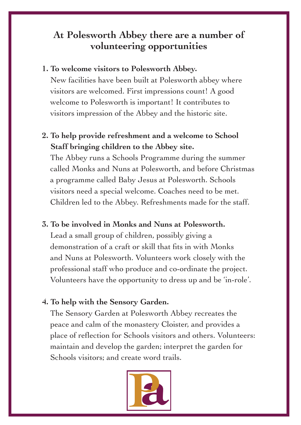## **At Polesworth Abbey there are a number of volunteering opportunities**

#### **1. To welcome visitors to Polesworth Abbey.**

 New facilities have been built at Polesworth abbey where visitors are welcomed. First impressions count! A good welcome to Polesworth is important! It contributes to visitors impression of the Abbey and the historic site.

## **2. To help provide refreshment and a welcome to School Staff bringing children to the Abbey site.**

 The Abbey runs a Schools Programme during the summer called Monks and Nuns at Polesworth, and before Christmas a programme called Baby Jesus at Polesworth. Schools visitors need a special welcome. Coaches need to be met. Children led to the Abbey. Refreshments made for the staff.

### **3. To be involved in Monks and Nuns at Polesworth.**

 Lead a small group of children, possibly giving a demonstration of a craft or skill that fits in with Monks and Nuns at Polesworth. Volunteers work closely with the professional staff who produce and co-ordinate the project. Volunteers have the opportunity to dress up and be 'in-role'.

### **4. To help with the Sensory Garden.**

 The Sensory Garden at Polesworth Abbey recreates the peace and calm of the monastery Cloister, and provides a place of reflection for Schools visitors and others. Volunteers: maintain and develop the garden; interpret the garden for Schools visitors; and create word trails.

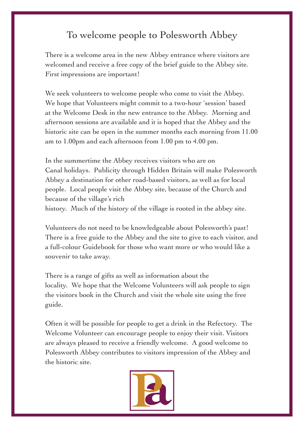## To welcome people to Polesworth Abbey

There is a welcome area in the new Abbey entrance where visitors are welcomed and receive a free copy of the brief guide to the Abbey site. First impressions are important!

We seek volunteers to welcome people who come to visit the Abbey. We hope that Volunteers might commit to a two-hour 'session' based at the Welcome Desk in the new entrance to the Abbey. Morning and afternoon sessions are available and it is hoped that the Abbey and the historic site can be open in the summer months each morning from 11.00 am to 1.00pm and each afternoon from 1.00 pm to 4.00 pm.

In the summertime the Abbey receives visitors who are on Canal holidays. Publicity through Hidden Britain will make Polesworth Abbey a destination for other road-based visitors, as well as for local people. Local people visit the Abbey site, because of the Church and because of the village's rich

history. Much of the history of the village is rooted in the abbey site.

Volunteers do not need to be knowledgeable about Polesworth's past! There is a free guide to the Abbey and the site to give to each visitor, and a full-colour Guidebook for those who want more or who would like a souvenir to take away.

There is a range of gifts as well as information about the locality. We hope that the Welcome Volunteers will ask people to sign the visitors book in the Church and visit the whole site using the free guide.

Often it will be possible for people to get a drink in the Refectory. The Welcome Volunteer can encourage people to enjoy their visit. Visitors are always pleased to receive a friendly welcome. A good welcome to Polesworth Abbey contributes to visitors impression of the Abbey and the historic site.

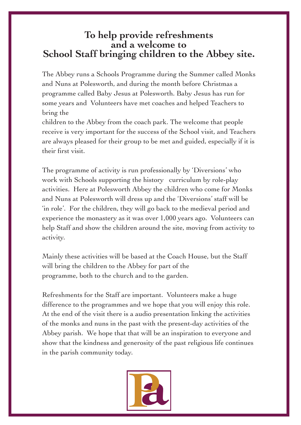## **To help provide refreshments and a welcome to School Staff bringing children to the Abbey site.**

The Abbey runs a Schools Programme during the Summer called Monks and Nuns at Polesworth, and during the month before Christmas a programme called Baby Jesus at Polesworth. Baby Jesus has run for some years and Volunteers have met coaches and helped Teachers to bring the

children to the Abbey from the coach park. The welcome that people receive is very important for the success of the School visit, and Teachers are always pleased for their group to be met and guided, especially if it is their first visit.

The programme of activity is run professionally by 'Diversions' who work with Schools supporting the history curriculum by role-play activities. Here at Polesworth Abbey the children who come for Monks and Nuns at Polesworth will dress up and the 'Diversions' staff will be 'in role'. For the children, they will go back to the medieval period and experience the monastery as it was over 1,000 years ago. Volunteers can help Staff and show the children around the site, moving from activity to activity.

Mainly these activities will be based at the Coach House, but the Staff will bring the children to the Abbey for part of the programme, both to the church and to the garden.

Refreshments for the Staff are important. Volunteers make a huge difference to the programmes and we hope that you will enjoy this role. At the end of the visit there is a audio presentation linking the activities of the monks and nuns in the past with the present-day activities of the Abbey parish. We hope that that will be an inspiration to everyone and show that the kindness and generosity of the past religious life continues in the parish community today.

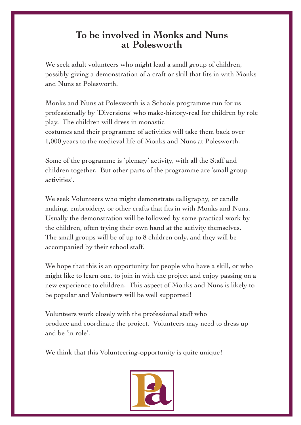## **To be involved in Monks and Nuns at Polesworth**

We seek adult volunteers who might lead a small group of children, possibly giving a demonstration of a craft or skill that fits in with Monks and Nuns at Polesworth.

Monks and Nuns at Polesworth is a Schools programme run for us professionally by 'Diversions' who make-history-real for children by role play. The children will dress in monastic

costumes and their programme of activities will take them back over 1,000 years to the medieval life of Monks and Nuns at Polesworth.

Some of the programme is 'plenary' activity, with all the Staff and children together. But other parts of the programme are 'small group activities'.

We seek Volunteers who might demonstrate calligraphy, or candle making, embroidery, or other crafts that fits in with Monks and Nuns. Usually the demonstration will be followed by some practical work by the children, often trying their own hand at the activity themselves. The small groups will be of up to 8 children only, and they will be accompanied by their school staff.

We hope that this is an opportunity for people who have a skill, or who might like to learn one, to join in with the project and enjoy passing on a new experience to children. This aspect of Monks and Nuns is likely to be popular and Volunteers will be well supported!

Volunteers work closely with the professional staff who produce and coordinate the project. Volunteers may need to dress up and be 'in role'.

We think that this Volunteering-opportunity is quite unique!

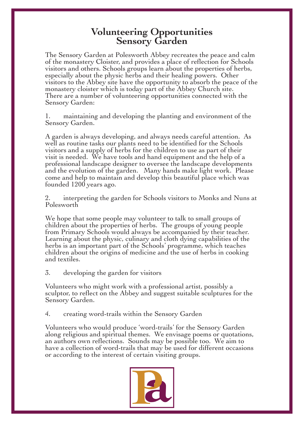# **Volunteering Opportunities Sensory Garden**

The Sensory Garden at Polesworth Abbey recreates the peace and calm of the monastery Cloister, and provides a place of reflection for Schools visitors and others. Schools groups learn about the properties of herbs, especially about the physic herbs and their healing powers. Other visitors to the Abbey site have the opportunity to absorb the peace of the monastery cloister which is today part of the Abbey Church site. There are a number of volunteering opportunities connected with the Sensory Garden:

1. maintaining and developing the planting and environment of the Sensory Garden.

A garden is always developing, and always needs careful attention. As well as routine tasks our plants need to be identified for the Schools visitors and a supply of herbs for the children to use as part of their visit is needed. We have tools and hand equipment and the help of a professional landscape designer to oversee the landscape developments and the evolution of the garden. Many hands make light work. Please come and help to maintain and develop this beautiful place which was founded 1200 years ago.

2. interpreting the garden for Schools visitors to Monks and Nuns at Polesworth

We hope that some people may volunteer to talk to small groups of children about the properties of herbs. The groups of young people from Primary Schools would always be accompanied by their teacher. Learning about the physic, culinary and cloth dying capabilities of the herbs is an important part of the Schools' programme, which teaches children about the origins of medicine and the use of herbs in cooking and textiles.

3. developing the garden for visitors

Volunteers who might work with a professional artist, possibly a sculptor, to reflect on the Abbey and suggest suitable sculptures for the Sensory Garden.

4. creating word-trails within the Sensory Garden

Volunteers who would produce 'word-trails' for the Sensory Garden along religious and spiritual themes. We envisage poems or quotations, an authors own reflections. Sounds may be possible too. We aim to have a collection of word-trails that may be used for different occasions or according to the interest of certain visiting groups.